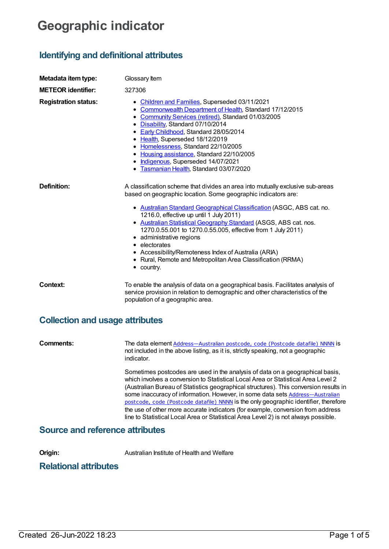# **Geographic indicator**

## **Identifying and definitional attributes**

| Metadata item type:             | Glossary Item                                                                                                                                                                                                                                                                                                                                                                                                                                                                                                                                                                            |
|---------------------------------|------------------------------------------------------------------------------------------------------------------------------------------------------------------------------------------------------------------------------------------------------------------------------------------------------------------------------------------------------------------------------------------------------------------------------------------------------------------------------------------------------------------------------------------------------------------------------------------|
| <b>METEOR identifier:</b>       | 327306                                                                                                                                                                                                                                                                                                                                                                                                                                                                                                                                                                                   |
| <b>Registration status:</b>     | • Children and Families, Superseded 03/11/2021<br>• Commonwealth Department of Health, Standard 17/12/2015<br>Community Services (retired), Standard 01/03/2005<br>$\bullet$<br>Disability, Standard 07/10/2014<br>• Early Childhood, Standard 28/05/2014<br>• Health, Superseded 18/12/2019<br>• Homelessness, Standard 22/10/2005<br>• Housing assistance, Standard 22/10/2005<br>· Indigenous, Superseded 14/07/2021<br>• Tasmanian Health, Standard 03/07/2020                                                                                                                       |
| <b>Definition:</b>              | A classification scheme that divides an area into mutually exclusive sub-areas<br>based on geographic location. Some geographic indicators are:<br>• Australian Standard Geographical Classification (ASGC, ABS cat. no.<br>1216.0, effective up until 1 July 2011)<br>• Australian Statistical Geography Standard (ASGS, ABS cat. nos.<br>1270.0.55.001 to 1270.0.55.005, effective from 1 July 2011)<br>• administrative regions<br>• electorates<br>• Accessibility/Remoteness Index of Australia (ARIA)<br>• Rural, Remote and Metropolitan Area Classification (RRMA)<br>• country. |
| Context:                        | To enable the analysis of data on a geographical basis. Facilitates analysis of<br>service provision in relation to demographic and other characteristics of the<br>population of a geographic area.                                                                                                                                                                                                                                                                                                                                                                                     |
| Collection and users attributes |                                                                                                                                                                                                                                                                                                                                                                                                                                                                                                                                                                                          |

## **Collection and usage attributes**

| Comments: | The data element Address-Australian postcode, code (Postcode datafile) NNNN is<br>not included in the above listing, as it is, strictly speaking, not a geographic<br>indicator.                                                                                                                                                                                                                                                                                                                                                                                                                               |
|-----------|----------------------------------------------------------------------------------------------------------------------------------------------------------------------------------------------------------------------------------------------------------------------------------------------------------------------------------------------------------------------------------------------------------------------------------------------------------------------------------------------------------------------------------------------------------------------------------------------------------------|
|           | Sometimes postcodes are used in the analysis of data on a geographical basis,<br>which involves a conversion to Statistical Local Area or Statistical Area Level 2<br>(Australian Bureau of Statistics geographical structures). This conversion results in<br>some inaccuracy of information. However, in some data sets Address-Australian<br>postcode, code (Postcode datafile) NNNN is the only geographic identifier, therefore<br>the use of other more accurate indicators (for example, conversion from address<br>line to Statistical Local Area or Statistical Area Level 2) is not always possible. |

## **Source and reference attributes**

**Origin:** Australian Institute of Health and Welfare

## **Relational attributes**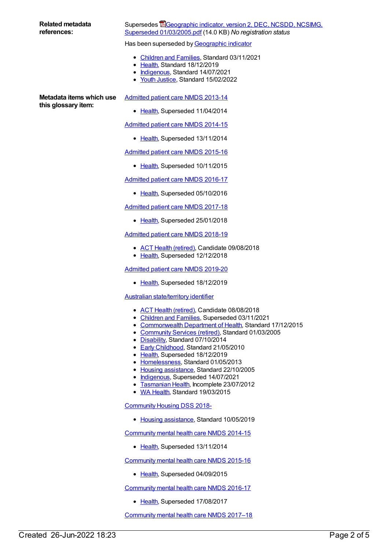#### **Related metadata references:**

### Supersedes **E**Geographic indicator, version 2, DEC, NCSDD, NCSIMG, Superseded [01/03/2005.pdf](https://meteor.aihw.gov.au/content/273930) (14.0 KB) *No registration status*

Has been superseded by [Geographic](https://meteor.aihw.gov.au/content/722655) indicator

- [Children](https://meteor.aihw.gov.au/RegistrationAuthority/17) and Families, Standard 03/11/2021
- [Health](https://meteor.aihw.gov.au/RegistrationAuthority/12), Standard 18/12/2019
- [Indigenous](https://meteor.aihw.gov.au/RegistrationAuthority/6), Standard 14/07/2021
- Youth [Justice](https://meteor.aihw.gov.au/RegistrationAuthority/4), Standard 15/02/2022

**Metadata items which use this glossary item:**

[Admitted](https://meteor.aihw.gov.au/content/491555) patient care NMDS 2013-14

• [Health](https://meteor.aihw.gov.au/RegistrationAuthority/12), Superseded 11/04/2014

[Admitted](https://meteor.aihw.gov.au/content/535047) patient care NMDS 2014-15

• [Health](https://meteor.aihw.gov.au/RegistrationAuthority/12), Superseded 13/11/2014

[Admitted](https://meteor.aihw.gov.au/content/588909) patient care NMDS 2015-16

• [Health](https://meteor.aihw.gov.au/RegistrationAuthority/12), Superseded 10/11/2015

[Admitted](https://meteor.aihw.gov.au/content/612171) patient care NMDS 2016-17

• [Health](https://meteor.aihw.gov.au/RegistrationAuthority/12), Superseded 05/10/2016

[Admitted](https://meteor.aihw.gov.au/content/641349) patient care NMDS 2017-18

• [Health](https://meteor.aihw.gov.au/RegistrationAuthority/12), Superseded 25/01/2018

[Admitted](https://meteor.aihw.gov.au/content/676382) patient care NMDS 2018-19

- ACT Health [\(retired\)](https://meteor.aihw.gov.au/RegistrationAuthority/9), Candidate 09/08/2018
- [Health](https://meteor.aihw.gov.au/RegistrationAuthority/12), Superseded 12/12/2018

[Admitted](https://meteor.aihw.gov.au/content/699728) patient care NMDS 2019-20

• [Health](https://meteor.aihw.gov.au/RegistrationAuthority/12), Superseded 18/12/2019

Australian [state/territory](https://meteor.aihw.gov.au/content/269056) identifier

- ACT Health [\(retired\)](https://meteor.aihw.gov.au/RegistrationAuthority/9), Candidate 08/08/2018
- [Children](https://meteor.aihw.gov.au/RegistrationAuthority/17) and Families, Superseded 03/11/2021
- [Commonwealth](https://meteor.aihw.gov.au/RegistrationAuthority/10) Department of Health, Standard 17/12/2015
- [Community](https://meteor.aihw.gov.au/RegistrationAuthority/1) Services (retired), Standard 01/03/2005
- [Disability](https://meteor.aihw.gov.au/RegistrationAuthority/16), Standard 07/10/2014
- Early [Childhood](https://meteor.aihw.gov.au/RegistrationAuthority/13), Standard 21/05/2010
- [Health](https://meteor.aihw.gov.au/RegistrationAuthority/12), Superseded 18/12/2019
- [Homelessness](https://meteor.aihw.gov.au/RegistrationAuthority/14), Standard 01/05/2013
- Housing [assistance](https://meteor.aihw.gov.au/RegistrationAuthority/11), Standard 22/10/2005
- $\bullet$  [Indigenous](https://meteor.aihw.gov.au/RegistrationAuthority/6), Superseded 14/07/2021
- [Tasmanian](https://meteor.aihw.gov.au/RegistrationAuthority/15) Health, Incomplete 23/07/2012
- WA [Health](https://meteor.aihw.gov.au/RegistrationAuthority/2), Standard 19/03/2015

[Community](https://meteor.aihw.gov.au/content/710899) Housing DSS 2018-

• Housing [assistance](https://meteor.aihw.gov.au/RegistrationAuthority/11), Standard 10/05/2019

[Community](https://meteor.aihw.gov.au/content/549878) mental health care NMDS 2014-15

• [Health](https://meteor.aihw.gov.au/RegistrationAuthority/12), Superseded 13/11/2014

[Community](https://meteor.aihw.gov.au/content/565694) mental health care NMDS 2015-16

• [Health](https://meteor.aihw.gov.au/RegistrationAuthority/12), Superseded 04/09/2015

[Community](https://meteor.aihw.gov.au/content/608534) mental health care NMDS 2016-17

• [Health](https://meteor.aihw.gov.au/RegistrationAuthority/12), Superseded 17/08/2017

[Community](https://meteor.aihw.gov.au/content/645692) mental health care NMDS 2017–18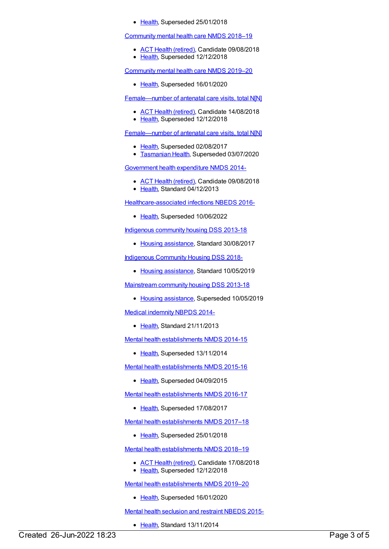• [Health](https://meteor.aihw.gov.au/RegistrationAuthority/12), Superseded 25/01/2018

[Community](https://meteor.aihw.gov.au/content/677802) mental health care NMDS 2018–19

- ACT Health [\(retired\)](https://meteor.aihw.gov.au/RegistrationAuthority/9), Candidate 09/08/2018
- [Health](https://meteor.aihw.gov.au/RegistrationAuthority/12), Superseded 12/12/2018

[Community](https://meteor.aihw.gov.au/content/699975) mental health care NMDS 2019–20

• [Health](https://meteor.aihw.gov.au/RegistrationAuthority/12), Superseded 16/01/2020

[Female—number](https://meteor.aihw.gov.au/content/669982) of antenatal care visits, total N[N]

- ACT Health [\(retired\)](https://meteor.aihw.gov.au/RegistrationAuthority/9), Candidate 14/08/2018
- [Health](https://meteor.aihw.gov.au/RegistrationAuthority/12), Superseded 12/12/2018

[Female—number](https://meteor.aihw.gov.au/content/423828) of antenatal care visits, total N[N]

- [Health](https://meteor.aihw.gov.au/RegistrationAuthority/12), Superseded 02/08/2017
- **[Tasmanian](https://meteor.aihw.gov.au/RegistrationAuthority/15) Health, Superseded 03/07/2020**

[Government](https://meteor.aihw.gov.au/content/540601) health expenditure NMDS 2014-

- ACT Health [\(retired\)](https://meteor.aihw.gov.au/RegistrationAuthority/9), Candidate 09/08/2018
- Elealth, Standard 04/12/2013

[Healthcare-associated](https://meteor.aihw.gov.au/content/577789) infections NBEDS 2016-

• [Health](https://meteor.aihw.gov.au/RegistrationAuthority/12), Superseded 10/06/2022

[Indigenous](https://meteor.aihw.gov.au/content/596369) community housing DSS 2013-18

• Housing [assistance](https://meteor.aihw.gov.au/RegistrationAuthority/11), Standard 30/08/2017

Indigenous [Community](https://meteor.aihw.gov.au/content/711226) Housing DSS 2018-

• Housing [assistance](https://meteor.aihw.gov.au/RegistrationAuthority/11), Standard 10/05/2019

[Mainstream](https://meteor.aihw.gov.au/content/594489) community housing DSS 2013-18

• Housing [assistance](https://meteor.aihw.gov.au/RegistrationAuthority/11), Superseded 10/05/2019

Medical [indemnity](https://meteor.aihw.gov.au/content/531844) NBPDS 2014-

• [Health](https://meteor.aihw.gov.au/RegistrationAuthority/12), Standard 21/11/2013

Mental health [establishments](https://meteor.aihw.gov.au/content/546889) NMDS 2014-15

• [Health](https://meteor.aihw.gov.au/RegistrationAuthority/12), Superseded 13/11/2014

Mental health [establishments](https://meteor.aihw.gov.au/content/565661) NMDS 2015-16

• [Health](https://meteor.aihw.gov.au/RegistrationAuthority/12), Superseded 04/09/2015

Mental health [establishments](https://meteor.aihw.gov.au/content/605829) NMDS 2016-17

• [Health](https://meteor.aihw.gov.au/RegistrationAuthority/12), Superseded 17/08/2017

Mental health [establishments](https://meteor.aihw.gov.au/content/645723) NMDS 2017–18

• [Health](https://meteor.aihw.gov.au/RegistrationAuthority/12), Superseded 25/01/2018

Mental health [establishments](https://meteor.aihw.gov.au/content/677892) NMDS 2018–19

- ACT Health [\(retired\)](https://meteor.aihw.gov.au/RegistrationAuthority/9), Candidate 17/08/2018
- [Health](https://meteor.aihw.gov.au/RegistrationAuthority/12), Superseded 12/12/2018

Mental health [establishments](https://meteor.aihw.gov.au/content/707557) NMDS 2019–20

• [Health](https://meteor.aihw.gov.au/RegistrationAuthority/12), Superseded 16/01/2020

Mental health [seclusion](https://meteor.aihw.gov.au/content/558137) and restraint NBEDS 2015-

• [Health](https://meteor.aihw.gov.au/RegistrationAuthority/12), Standard 13/11/2014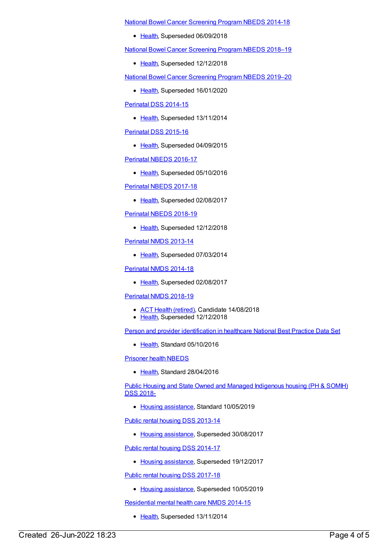National Bowel Cancer [Screening](https://meteor.aihw.gov.au/content/529201) Program NBEDS 2014-18

• [Health](https://meteor.aihw.gov.au/RegistrationAuthority/12), Superseded 06/09/2018

National Bowel Cancer [Screening](https://meteor.aihw.gov.au/content/694107) Program NBEDS 2018–19

• [Health](https://meteor.aihw.gov.au/RegistrationAuthority/12), Superseded 12/12/2018

National Bowel Cancer [Screening](https://meteor.aihw.gov.au/content/707481) Program NBEDS 2019–20

• [Health](https://meteor.aihw.gov.au/RegistrationAuthority/12), Superseded 16/01/2020

[Perinatal](https://meteor.aihw.gov.au/content/510127) DSS 2014-15

• [Health](https://meteor.aihw.gov.au/RegistrationAuthority/12), Superseded 13/11/2014

[Perinatal](https://meteor.aihw.gov.au/content/581388) DSS 2015-16

• [Health](https://meteor.aihw.gov.au/RegistrationAuthority/12), Superseded 04/09/2015

[Perinatal](https://meteor.aihw.gov.au/content/605250) NBEDS 2016-17

• [Health](https://meteor.aihw.gov.au/RegistrationAuthority/12), Superseded 05/10/2016

[Perinatal](https://meteor.aihw.gov.au/content/654975) NBEDS 2017-18

• [Health](https://meteor.aihw.gov.au/RegistrationAuthority/12), Superseded 02/08/2017

[Perinatal](https://meteor.aihw.gov.au/content/668809) NBEDS 2018-19

• [Health](https://meteor.aihw.gov.au/RegistrationAuthority/12), Superseded 12/12/2018

[Perinatal](https://meteor.aihw.gov.au/content/489433) NMDS 2013-14

• [Health](https://meteor.aihw.gov.au/RegistrationAuthority/12), Superseded 07/03/2014

[Perinatal](https://meteor.aihw.gov.au/content/517456) NMDS 2014-18

• [Health](https://meteor.aihw.gov.au/RegistrationAuthority/12), Superseded 02/08/2017

#### [Perinatal](https://meteor.aihw.gov.au/content/668811) NMDS 2018-19

- ACT Health [\(retired\)](https://meteor.aihw.gov.au/RegistrationAuthority/9), Candidate 14/08/2018
- [Health](https://meteor.aihw.gov.au/RegistrationAuthority/12), Superseded 12/12/2018

Person and provider [identification](https://meteor.aihw.gov.au/content/529511) in healthcare National Best Practice Data Set

• [Health](https://meteor.aihw.gov.au/RegistrationAuthority/12), Standard 05/10/2016

[Prisoner](https://meteor.aihw.gov.au/content/482311) health NBEDS

• [Health](https://meteor.aihw.gov.au/RegistrationAuthority/12), Standard 28/04/2016

Public Housing and State Owned and Managed [Indigenous](https://meteor.aihw.gov.au/content/711016) housing (PH & SOMIH) DSS 2018-

• Housing [assistance](https://meteor.aihw.gov.au/RegistrationAuthority/11), Standard 10/05/2019

Public rental housing DSS [2013-14](https://meteor.aihw.gov.au/content/595530)

• Housing [assistance](https://meteor.aihw.gov.au/RegistrationAuthority/11), Superseded 30/08/2017

Public rental housing DSS [2014-17](https://meteor.aihw.gov.au/content/635946)

• Housing [assistance](https://meteor.aihw.gov.au/RegistrationAuthority/11), Superseded 19/12/2017

Public rental housing DSS [2017-18](https://meteor.aihw.gov.au/content/687107)

• Housing [assistance](https://meteor.aihw.gov.au/RegistrationAuthority/11), Superseded 10/05/2019

[Residential](https://meteor.aihw.gov.au/content/525052) mental health care NMDS 2014-15

• [Health](https://meteor.aihw.gov.au/RegistrationAuthority/12), Superseded 13/11/2014